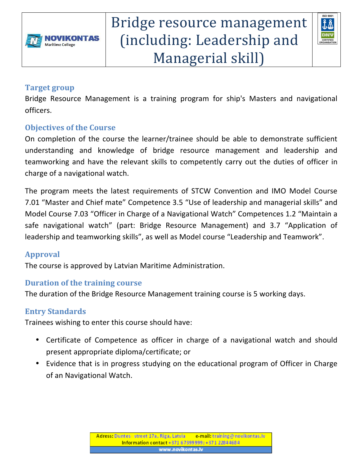



#### **Target group**

Bridge Resource Management is a training program for ship's Masters and navigational officers.

## **Objectives of the Course**

On completion of the course the learner/trainee should be able to demonstrate sufficient understanding and knowledge of bridge resource management and leadership and teamworking and have the relevant skills to competently carry out the duties of officer in charge of a navigational watch.

The program meets the latest requirements of STCW Convention and IMO Model Course 7.01 "Master and Chief mate" Competence 3.5 "Use of leadership and managerial skills" and Model Course 7.03 "Officer in Charge of a Navigational Watch" Competences 1.2 "Maintain a safe navigational watch" (part: Bridge Resource Management) and 3.7 "Application of leadership and teamworking skills", as well as Model course "Leadership and Teamwork".

## **Approval**

The course is approved by Latvian Maritime Administration.

## **Duration of the training course**

The duration of the Bridge Resource Management training course is 5 working days.

#### **Entry Standards**

Trainees wishing to enter this course should have:

- Certificate of Competence as officer in charge of a navigational watch and should present appropriate diploma/certificate; or
- Evidence that is in progress studying on the educational program of Officer in Charge of an Navigational Watch.